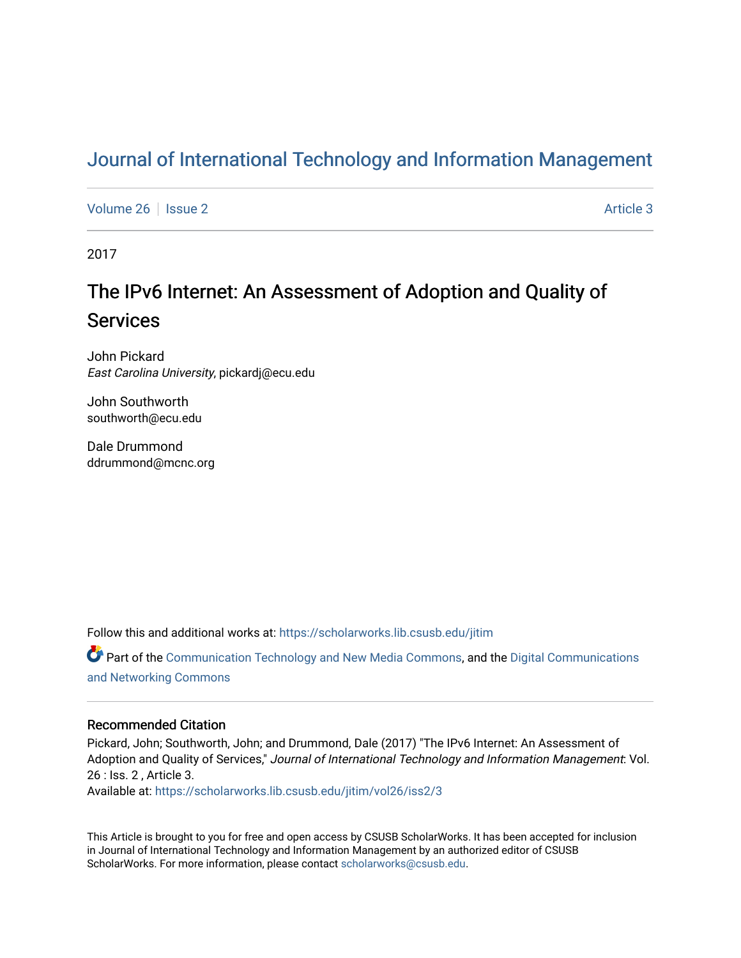# [Journal of International Technology and Information Management](https://scholarworks.lib.csusb.edu/jitim)

[Volume 26](https://scholarworks.lib.csusb.edu/jitim/vol26) | [Issue 2](https://scholarworks.lib.csusb.edu/jitim/vol26/iss2) Article 3

2017

# The IPv6 Internet: An Assessment of Adoption and Quality of **Services**

John Pickard East Carolina University, pickardj@ecu.edu

John Southworth southworth@ecu.edu

Dale Drummond ddrummond@mcnc.org

Follow this and additional works at: [https://scholarworks.lib.csusb.edu/jitim](https://scholarworks.lib.csusb.edu/jitim?utm_source=scholarworks.lib.csusb.edu%2Fjitim%2Fvol26%2Fiss2%2F3&utm_medium=PDF&utm_campaign=PDFCoverPages) 

Part of the [Communication Technology and New Media Commons,](http://network.bepress.com/hgg/discipline/327?utm_source=scholarworks.lib.csusb.edu%2Fjitim%2Fvol26%2Fiss2%2F3&utm_medium=PDF&utm_campaign=PDFCoverPages) and the [Digital Communications](http://network.bepress.com/hgg/discipline/262?utm_source=scholarworks.lib.csusb.edu%2Fjitim%2Fvol26%2Fiss2%2F3&utm_medium=PDF&utm_campaign=PDFCoverPages) [and Networking Commons](http://network.bepress.com/hgg/discipline/262?utm_source=scholarworks.lib.csusb.edu%2Fjitim%2Fvol26%2Fiss2%2F3&utm_medium=PDF&utm_campaign=PDFCoverPages) 

#### Recommended Citation

Pickard, John; Southworth, John; and Drummond, Dale (2017) "The IPv6 Internet: An Assessment of Adoption and Quality of Services," Journal of International Technology and Information Management: Vol. 26 : Iss. 2 , Article 3. Available at: [https://scholarworks.lib.csusb.edu/jitim/vol26/iss2/3](https://scholarworks.lib.csusb.edu/jitim/vol26/iss2/3?utm_source=scholarworks.lib.csusb.edu%2Fjitim%2Fvol26%2Fiss2%2F3&utm_medium=PDF&utm_campaign=PDFCoverPages) 

This Article is brought to you for free and open access by CSUSB ScholarWorks. It has been accepted for inclusion in Journal of International Technology and Information Management by an authorized editor of CSUSB ScholarWorks. For more information, please contact [scholarworks@csusb.edu.](mailto:scholarworks@csusb.edu)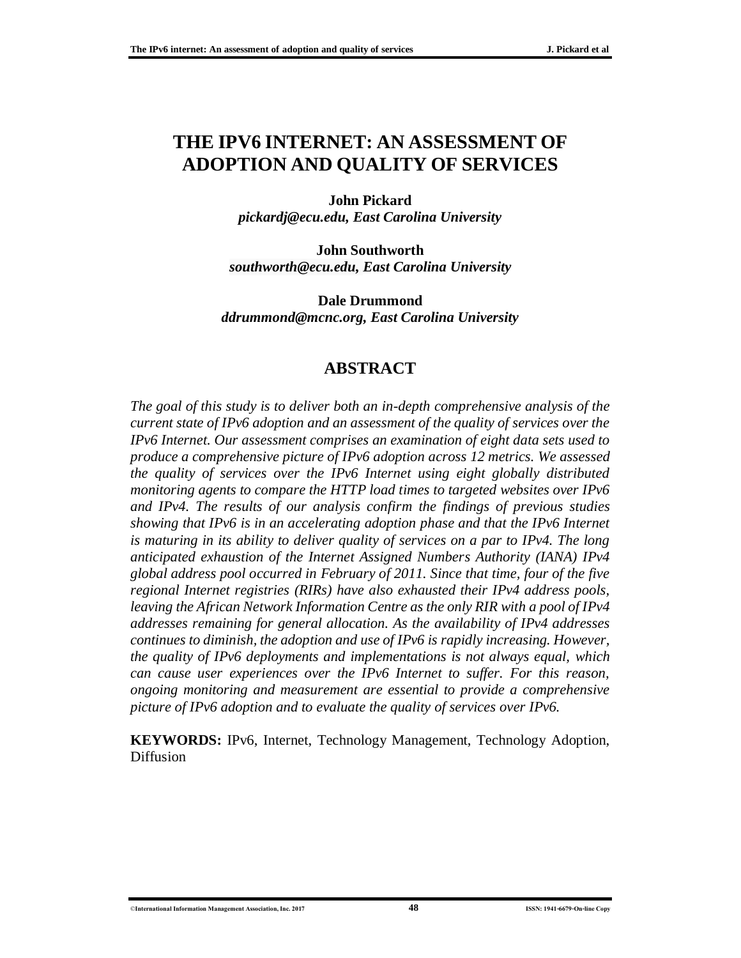# **THE IPV6 INTERNET: AN ASSESSMENT OF ADOPTION AND QUALITY OF SERVICES**

**[John Pickard](javascript:popUp()** *pickardj@ecu.edu, East Carolina University*

**[John Southworth](javascript:popUp()** *[southworth@ecu.edu,](mailto:southworth@ecu.edu) East Carolina University*

**[Dale Drummond](javascript:popUp()** *[ddrummond@mcnc.org,](mailto:ddrummond@mcnc.org) East Carolina University*

# **ABSTRACT**

*The goal of this study is to deliver both an in-depth comprehensive analysis of the current state of IPv6 adoption and an assessment of the quality of services over the IPv6 Internet. Our assessment comprises an examination of eight data sets used to produce a comprehensive picture of IPv6 adoption across 12 metrics. We assessed the quality of services over the IPv6 Internet using eight globally distributed monitoring agents to compare the HTTP load times to targeted websites over IPv6 and IPv4. The results of our analysis confirm the findings of previous studies showing that IPv6 is in an accelerating adoption phase and that the IPv6 Internet is maturing in its ability to deliver quality of services on a par to IPv4. The long anticipated exhaustion of the Internet Assigned Numbers Authority (IANA) IPv4 global address pool occurred in February of 2011. Since that time, four of the five regional Internet registries (RIRs) have also exhausted their IPv4 address pools, leaving the African Network Information Centre as the only RIR with a pool of IPv4 addresses remaining for general allocation. As the availability of IPv4 addresses continues to diminish, the adoption and use of IPv6 is rapidly increasing. However, the quality of IPv6 deployments and implementations is not always equal, which can cause user experiences over the IPv6 Internet to suffer. For this reason, ongoing monitoring and measurement are essential to provide a comprehensive picture of IPv6 adoption and to evaluate the quality of services over IPv6.*

**KEYWORDS:** IPv6, Internet, Technology Management, Technology Adoption, Diffusion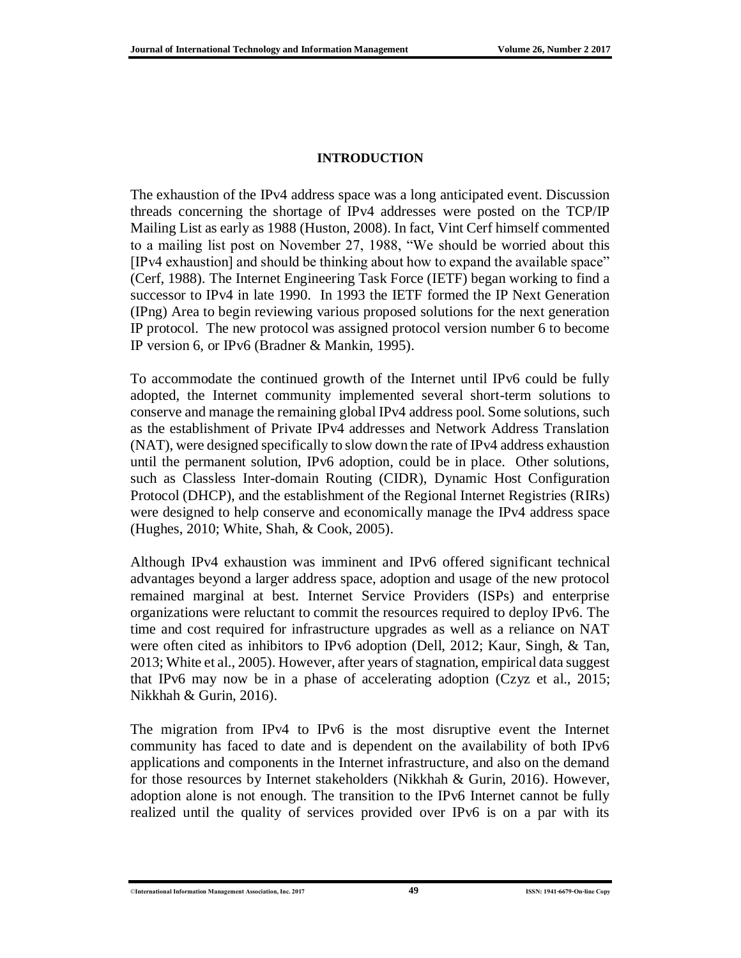#### **INTRODUCTION**

The exhaustion of the IPv4 address space was a long anticipated event. Discussion threads concerning the shortage of IPv4 addresses were posted on the TCP/IP Mailing List as early as 1988 (Huston, 2008). In fact, Vint Cerf himself commented to a mailing list post on November 27, 1988, "We should be worried about this [IPv4 exhaustion] and should be thinking about how to expand the available space" (Cerf, 1988). The Internet Engineering Task Force (IETF) began working to find a successor to IPv4 in late 1990. In 1993 the IETF formed the IP Next Generation (IPng) Area to begin reviewing various proposed solutions for the next generation IP protocol. The new protocol was assigned protocol version number 6 to become IP version 6, or IPv6 (Bradner & Mankin, 1995).

To accommodate the continued growth of the Internet until IPv6 could be fully adopted, the Internet community implemented several short-term solutions to conserve and manage the remaining global IPv4 address pool. Some solutions, such as the establishment of Private IPv4 addresses and Network Address Translation (NAT), were designed specifically to slow down the rate of IPv4 address exhaustion until the permanent solution, IPv6 adoption, could be in place. Other solutions, such as Classless Inter-domain Routing (CIDR), Dynamic Host Configuration Protocol (DHCP), and the establishment of the Regional Internet Registries (RIRs) were designed to help conserve and economically manage the IPv4 address space (Hughes, 2010; White, Shah, & Cook, 2005).

Although IPv4 exhaustion was imminent and IPv6 offered significant technical advantages beyond a larger address space, adoption and usage of the new protocol remained marginal at best. Internet Service Providers (ISPs) and enterprise organizations were reluctant to commit the resources required to deploy IPv6. The time and cost required for infrastructure upgrades as well as a reliance on NAT were often cited as inhibitors to IPv6 adoption (Dell, 2012; Kaur, Singh, & Tan, 2013; White et al., 2005). However, after years of stagnation, empirical data suggest that IPv6 may now be in a phase of accelerating adoption (Czyz et al., 2015; Nikkhah & Gurin, 2016).

The migration from IPv4 to IPv6 is the most disruptive event the Internet community has faced to date and is dependent on the availability of both IPv6 applications and components in the Internet infrastructure, and also on the demand for those resources by Internet stakeholders (Nikkhah & Gurin, 2016). However, adoption alone is not enough. The transition to the IPv6 Internet cannot be fully realized until the quality of services provided over IPv6 is on a par with its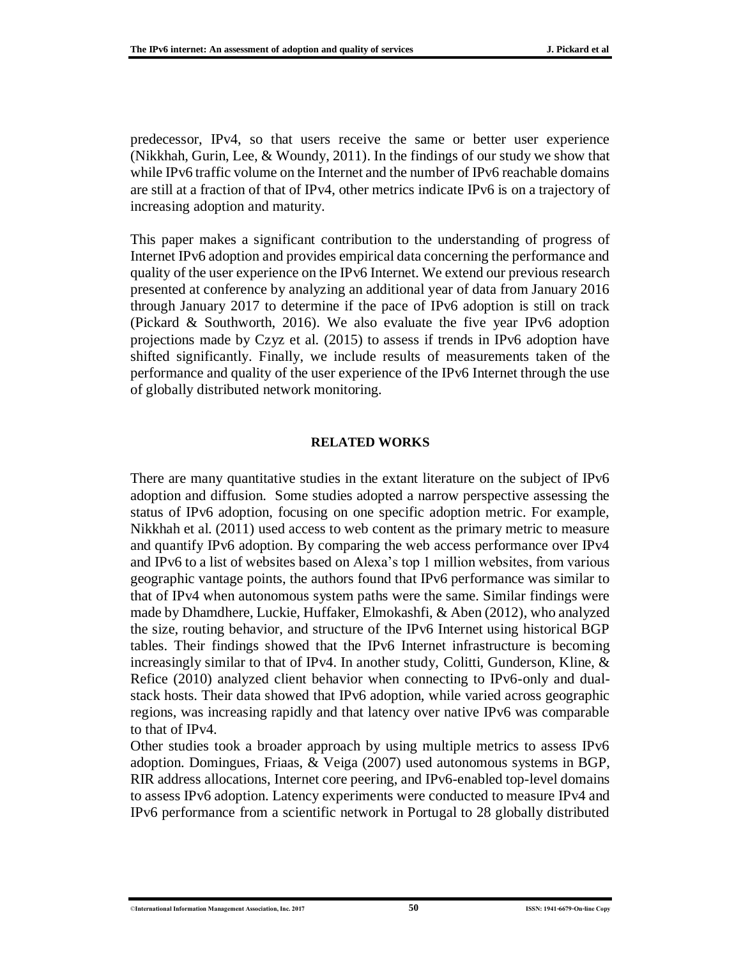predecessor, IPv4, so that users receive the same or better user experience (Nikkhah, Gurin, Lee, & Woundy, 2011). In the findings of our study we show that while IPv6 traffic volume on the Internet and the number of IPv6 reachable domains are still at a fraction of that of IPv4, other metrics indicate IPv6 is on a trajectory of increasing adoption and maturity.

This paper makes a significant contribution to the understanding of progress of Internet IPv6 adoption and provides empirical data concerning the performance and quality of the user experience on the IPv6 Internet. We extend our previous research presented at conference by analyzing an additional year of data from January 2016 through January 2017 to determine if the pace of IPv6 adoption is still on track (Pickard & Southworth, 2016). We also evaluate the five year IPv6 adoption projections made by Czyz et al. (2015) to assess if trends in IPv6 adoption have shifted significantly. Finally, we include results of measurements taken of the performance and quality of the user experience of the IPv6 Internet through the use of globally distributed network monitoring.

#### **RELATED WORKS**

There are many quantitative studies in the extant literature on the subject of IPv6 adoption and diffusion. Some studies adopted a narrow perspective assessing the status of IPv6 adoption, focusing on one specific adoption metric. For example, Nikkhah et al. (2011) used access to web content as the primary metric to measure and quantify IPv6 adoption. By comparing the web access performance over IPv4 and IPv6 to a list of websites based on Alexa's top 1 million websites, from various geographic vantage points, the authors found that IPv6 performance was similar to that of IPv4 when autonomous system paths were the same. Similar findings were made by Dhamdhere, Luckie, Huffaker, Elmokashfi, & Aben (2012), who analyzed the size, routing behavior, and structure of the IPv6 Internet using historical BGP tables. Their findings showed that the IPv6 Internet infrastructure is becoming increasingly similar to that of IPv4. In another study, Colitti, Gunderson, Kline, & Refice (2010) analyzed client behavior when connecting to IPv6-only and dualstack hosts. Their data showed that IPv6 adoption, while varied across geographic regions, was increasing rapidly and that latency over native IPv6 was comparable to that of IPv4.

Other studies took a broader approach by using multiple metrics to assess IPv6 adoption. Domingues, Friaas, & Veiga (2007) used autonomous systems in BGP, RIR address allocations, Internet core peering, and IPv6-enabled top-level domains to assess IPv6 adoption. Latency experiments were conducted to measure IPv4 and IPv6 performance from a scientific network in Portugal to 28 globally distributed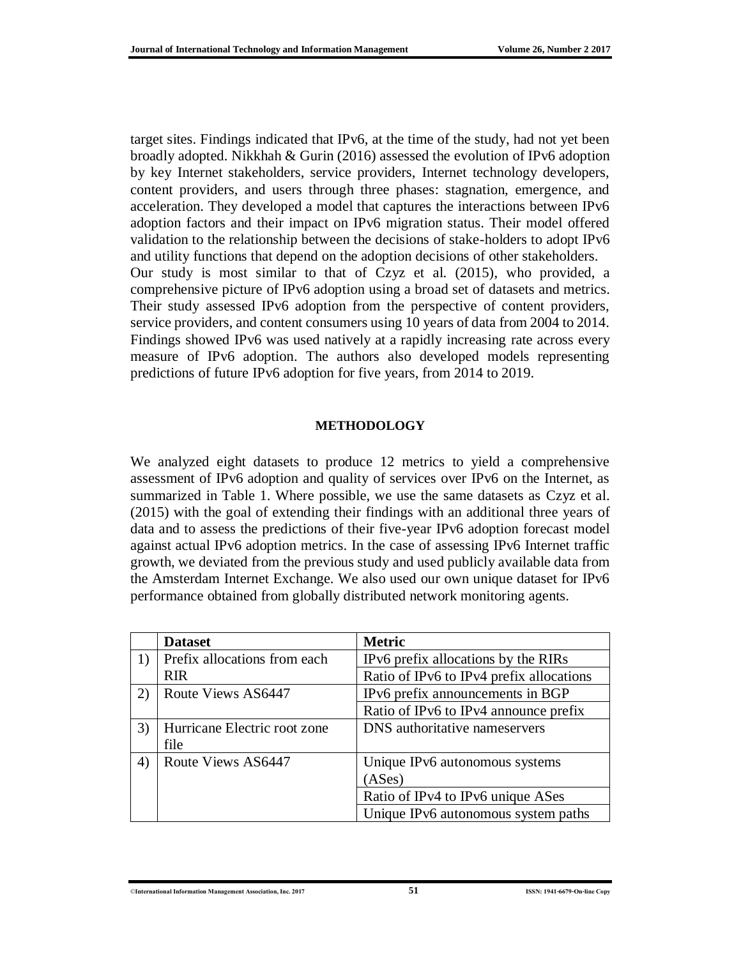target sites. Findings indicated that IPv6, at the time of the study, had not yet been broadly adopted. Nikkhah & Gurin (2016) assessed the evolution of IPv6 adoption by key Internet stakeholders, service providers, Internet technology developers, content providers, and users through three phases: stagnation, emergence, and acceleration. They developed a model that captures the interactions between IPv6 adoption factors and their impact on IPv6 migration status. Their model offered validation to the relationship between the decisions of stake-holders to adopt IPv6 and utility functions that depend on the adoption decisions of other stakeholders. Our study is most similar to that of Czyz et al. (2015), who provided, a comprehensive picture of IPv6 adoption using a broad set of datasets and metrics. Their study assessed IPv6 adoption from the perspective of content providers, service providers, and content consumers using 10 years of data from 2004 to 2014. Findings showed IPv6 was used natively at a rapidly increasing rate across every measure of IPv6 adoption. The authors also developed models representing predictions of future IPv6 adoption for five years, from 2014 to 2019.

#### **METHODOLOGY**

We analyzed eight datasets to produce 12 metrics to yield a comprehensive assessment of IPv6 adoption and quality of services over IPv6 on the Internet, as summarized in Table 1. Where possible, we use the same datasets as Czyz et al. (2015) with the goal of extending their findings with an additional three years of data and to assess the predictions of their five-year IPv6 adoption forecast model against actual IPv6 adoption metrics. In the case of assessing IPv6 Internet traffic growth, we deviated from the previous study and used publicly available data from the Amsterdam Internet Exchange. We also used our own unique dataset for IPv6 performance obtained from globally distributed network monitoring agents.

|    | <b>Dataset</b>               | <b>Metric</b>                            |  |  |
|----|------------------------------|------------------------------------------|--|--|
| 1) | Prefix allocations from each | IPv6 prefix allocations by the RIRs      |  |  |
|    | <b>RIR</b>                   | Ratio of IPv6 to IPv4 prefix allocations |  |  |
| 2) | Route Views AS6447           | IPv6 prefix announcements in BGP         |  |  |
|    |                              | Ratio of IPv6 to IPv4 announce prefix    |  |  |
| 3) | Hurricane Electric root zone | DNS authoritative nameservers            |  |  |
|    | file                         |                                          |  |  |
| 4) | Route Views AS6447           | Unique IPv6 autonomous systems           |  |  |
|    |                              | (ASes)                                   |  |  |
|    |                              | Ratio of IPv4 to IPv6 unique ASes        |  |  |
|    |                              | Unique IPv6 autonomous system paths      |  |  |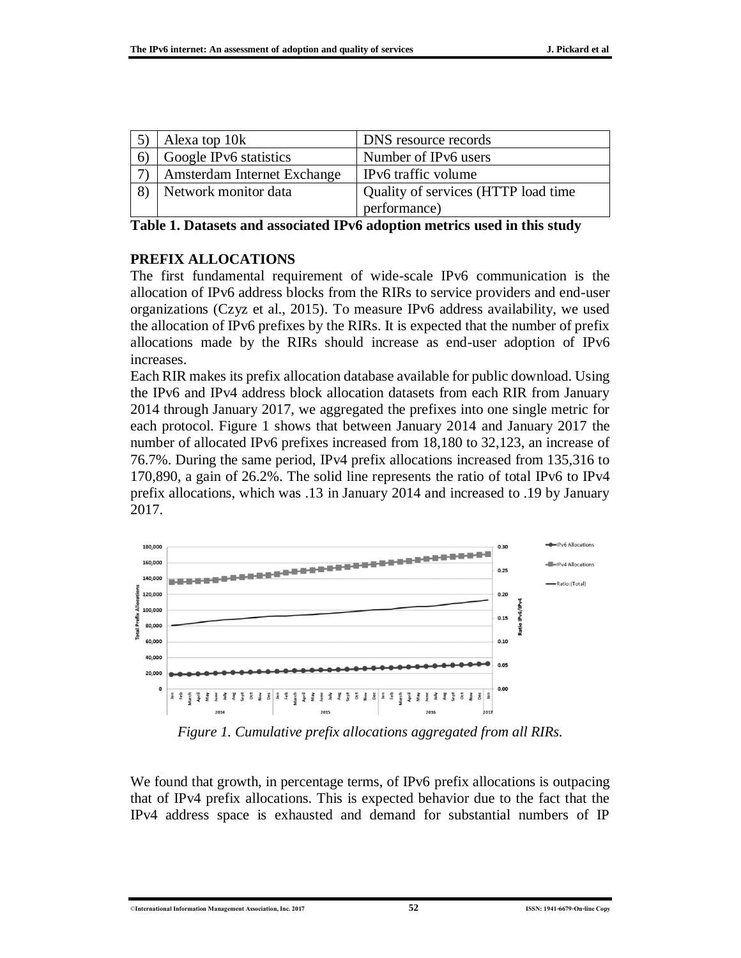| Alexa top 10k               | DNS resource records                |
|-----------------------------|-------------------------------------|
| Google IPv6 statistics      | Number of IPv6 users                |
| Amsterdam Internet Exchange | IPv6 traffic volume                 |
| Network monitor data        | Quality of services (HTTP load time |
|                             | performance)                        |

**Table 1. Datasets and associated IPv6 adoption metrics used in this study**

# **PREFIX ALLOCATIONS**

The first fundamental requirement of wide-scale IPv6 communication is the allocation of IPv6 address blocks from the RIRs to service providers and end-user organizations (Czyz et al., 2015). To measure IPv6 address availability, we used the allocation of IPv6 prefixes by the RIRs. It is expected that the number of prefix allocations made by the RIRs should increase as end-user adoption of IPv6 increases.

Each RIR makes its prefix allocation database available for public download. Using the IPv6 and IPv4 address block allocation datasets from each RIR from January 2014 through January 2017, we aggregated the prefixes into one single metric for each protocol. Figure 1 shows that between January 2014 and January 2017 the number of allocated IPv6 prefixes increased from 18,180 to 32,123, an increase of 76.7%. During the same period, IPv4 prefix allocations increased from 135,316 to 170,890, a gain of 26.2%. The solid line represents the ratio of total IPv6 to IPv4 prefix allocations, which was .13 in January 2014 and increased to .19 by January 2017.



*Figure 1. Cumulative prefix allocations aggregated from all RIRs.*

We found that growth, in percentage terms, of IPv6 prefix allocations is outpacing that of IPv4 prefix allocations. This is expected behavior due to the fact that the IPv4 address space is exhausted and demand for substantial numbers of IP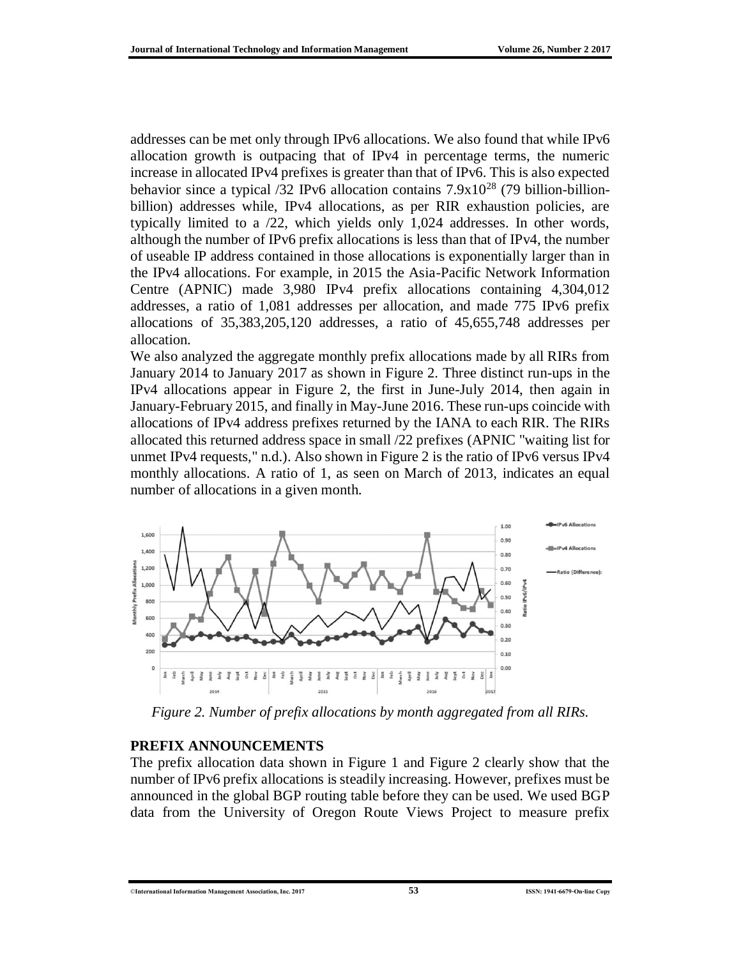addresses can be met only through IPv6 allocations. We also found that while IPv6 allocation growth is outpacing that of IPv4 in percentage terms, the numeric increase in allocated IPv4 prefixes is greater than that of IPv6. This is also expected behavior since a typical  $/32$  IPv6 allocation contains  $7.9x10^{28}$  (79 billion-billionbillion) addresses while, IPv4 allocations, as per RIR exhaustion policies, are typically limited to a /22, which yields only 1,024 addresses. In other words, although the number of IPv6 prefix allocations is less than that of IPv4, the number of useable IP address contained in those allocations is exponentially larger than in the IPv4 allocations. For example, in 2015 the Asia-Pacific Network Information Centre (APNIC) made 3,980 IPv4 prefix allocations containing 4,304,012 addresses, a ratio of 1,081 addresses per allocation, and made 775 IPv6 prefix allocations of 35,383,205,120 addresses, a ratio of 45,655,748 addresses per allocation.

We also analyzed the aggregate monthly prefix allocations made by all RIRs from January 2014 to January 2017 as shown in Figure 2. Three distinct run-ups in the IPv4 allocations appear in Figure 2, the first in June-July 2014, then again in January-February 2015, and finally in May-June 2016. These run-ups coincide with allocations of IPv4 address prefixes returned by the IANA to each RIR. The RIRs allocated this returned address space in small /22 prefixes (APNIC "waiting list for unmet IPv4 requests," n.d.). Also shown in Figure 2 is the ratio of IPv6 versus IPv4 monthly allocations. A ratio of 1, as seen on March of 2013, indicates an equal number of allocations in a given month.



*Figure 2. Number of prefix allocations by month aggregated from all RIRs.*

# **PREFIX ANNOUNCEMENTS**

The prefix allocation data shown in Figure 1 and Figure 2 clearly show that the number of IPv6 prefix allocations is steadily increasing. However, prefixes must be announced in the global BGP routing table before they can be used. We used BGP data from the University of Oregon Route Views Project to measure prefix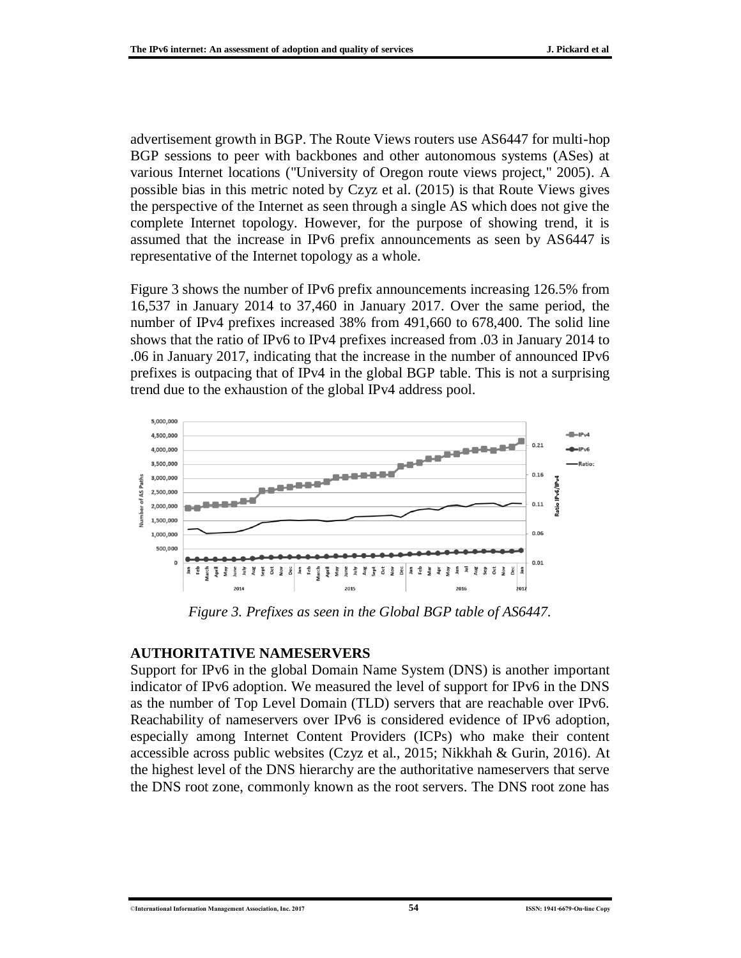advertisement growth in BGP. The Route Views routers use AS6447 for multi-hop BGP sessions to peer with backbones and other autonomous systems (ASes) at various Internet locations ("University of Oregon route views project," 2005). A possible bias in this metric noted by Czyz et al. (2015) is that Route Views gives the perspective of the Internet as seen through a single AS which does not give the complete Internet topology. However, for the purpose of showing trend, it is assumed that the increase in IPv6 prefix announcements as seen by AS6447 is representative of the Internet topology as a whole.

Figure 3 shows the number of IPv6 prefix announcements increasing 126.5% from 16,537 in January 2014 to 37,460 in January 2017. Over the same period, the number of IPv4 prefixes increased 38% from 491,660 to 678,400. The solid line shows that the ratio of IPv6 to IPv4 prefixes increased from .03 in January 2014 to .06 in January 2017, indicating that the increase in the number of announced IPv6 prefixes is outpacing that of IPv4 in the global BGP table. This is not a surprising trend due to the exhaustion of the global IPv4 address pool.



*Figure 3. Prefixes as seen in the Global BGP table of AS6447.*

# **AUTHORITATIVE NAMESERVERS**

Support for IPv6 in the global Domain Name System (DNS) is another important indicator of IPv6 adoption. We measured the level of support for IPv6 in the DNS as the number of Top Level Domain (TLD) servers that are reachable over IPv6. Reachability of nameservers over IPv6 is considered evidence of IPv6 adoption, especially among Internet Content Providers (ICPs) who make their content accessible across public websites (Czyz et al., 2015; Nikkhah & Gurin, 2016). At the highest level of the DNS hierarchy are the authoritative nameservers that serve the DNS root zone, commonly known as the root servers. The DNS root zone has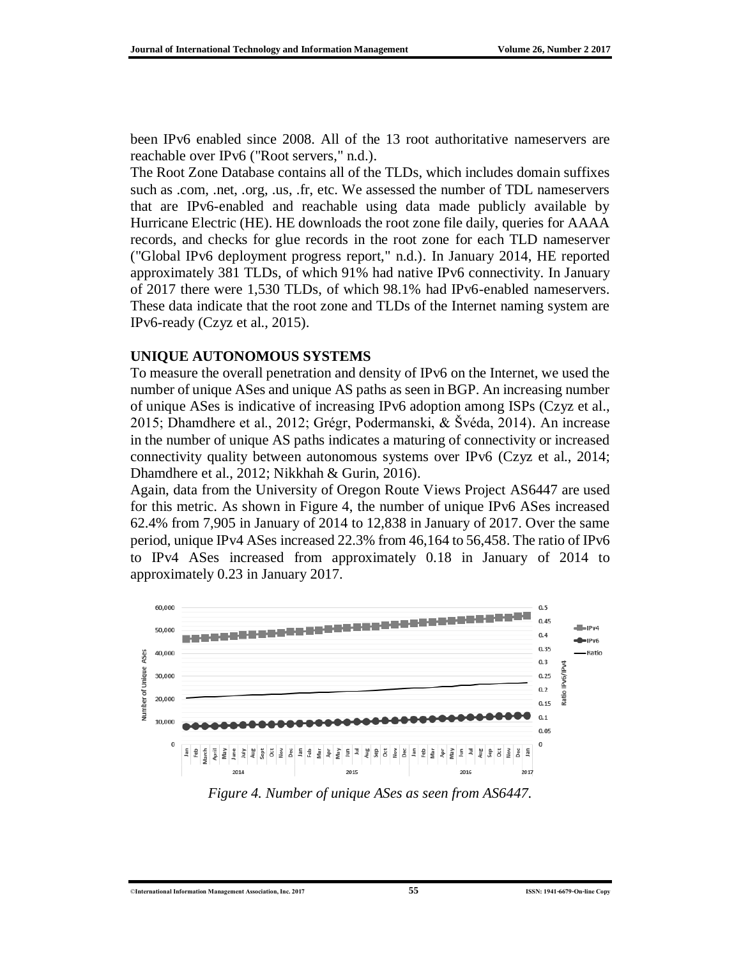been IPv6 enabled since 2008. All of the 13 root authoritative nameservers are reachable over IPv6 ("Root servers," n.d.).

The Root Zone Database contains all of the TLDs, which includes domain suffixes such as .com, .net, .org, .us, .fr, etc. We assessed the number of TDL nameservers that are IPv6-enabled and reachable using data made publicly available by Hurricane Electric (HE). HE downloads the root zone file daily, queries for AAAA records, and checks for glue records in the root zone for each TLD nameserver ("Global IPv6 deployment progress report," n.d.). In January 2014, HE reported approximately 381 TLDs, of which 91% had native IPv6 connectivity. In January of 2017 there were 1,530 TLDs, of which 98.1% had IPv6-enabled nameservers. These data indicate that the root zone and TLDs of the Internet naming system are IPv6-ready (Czyz et al., 2015).

# **UNIQUE AUTONOMOUS SYSTEMS**

To measure the overall penetration and density of IPv6 on the Internet, we used the number of unique ASes and unique AS paths as seen in BGP. An increasing number of unique ASes is indicative of increasing IPv6 adoption among ISPs (Czyz et al., 2015; Dhamdhere et al., 2012; Grégr, Podermanski, & Švéda, 2014). An increase in the number of unique AS paths indicates a maturing of connectivity or increased connectivity quality between autonomous systems over IPv6 (Czyz et al., 2014; Dhamdhere et al., 2012; Nikkhah & Gurin, 2016).

Again, data from the University of Oregon Route Views Project AS6447 are used for this metric. As shown in Figure 4, the number of unique IPv6 ASes increased 62.4% from 7,905 in January of 2014 to 12,838 in January of 2017. Over the same period, unique IPv4 ASes increased 22.3% from 46,164 to 56,458. The ratio of IPv6 to IPv4 ASes increased from approximately 0.18 in January of 2014 to approximately 0.23 in January 2017.



*Figure 4. Number of unique ASes as seen from AS6447.*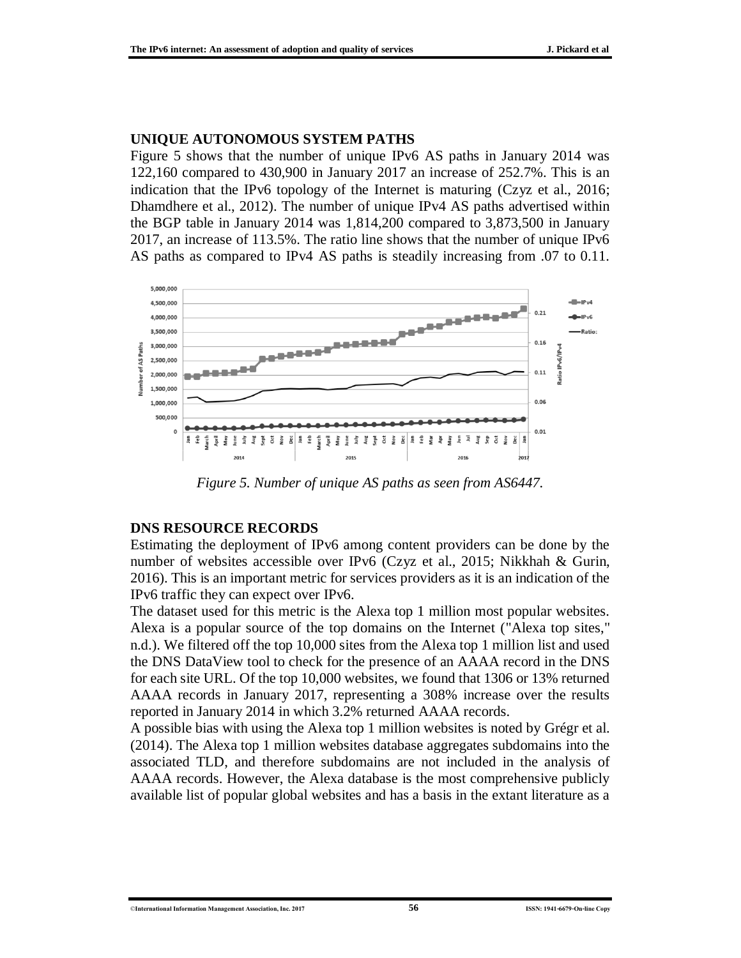#### **UNIQUE AUTONOMOUS SYSTEM PATHS**

Figure 5 shows that the number of unique IPv6 AS paths in January 2014 was 122,160 compared to 430,900 in January 2017 an increase of 252.7%. This is an indication that the IPv6 topology of the Internet is maturing (Czyz et al., 2016; Dhamdhere et al., 2012). The number of unique IPv4 AS paths advertised within the BGP table in January 2014 was 1,814,200 compared to 3,873,500 in January 2017, an increase of 113.5%. The ratio line shows that the number of unique IPv6 AS paths as compared to IPv4 AS paths is steadily increasing from .07 to 0.11.



*Figure 5. Number of unique AS paths as seen from AS6447.*

#### **DNS RESOURCE RECORDS**

Estimating the deployment of IPv6 among content providers can be done by the number of websites accessible over IPv6 (Czyz et al., 2015; Nikkhah & Gurin, 2016). This is an important metric for services providers as it is an indication of the IPv6 traffic they can expect over IPv6.

The dataset used for this metric is the Alexa top 1 million most popular websites. Alexa is a popular source of the top domains on the Internet ("Alexa top sites," n.d.). We filtered off the top 10,000 sites from the Alexa top 1 million list and used the DNS DataView tool to check for the presence of an AAAA record in the DNS for each site URL. Of the top 10,000 websites, we found that 1306 or 13% returned AAAA records in January 2017, representing a 308% increase over the results reported in January 2014 in which 3.2% returned AAAA records.

A possible bias with using the Alexa top 1 million websites is noted by Grégr et al. (2014). The Alexa top 1 million websites database aggregates subdomains into the associated TLD, and therefore subdomains are not included in the analysis of AAAA records. However, the Alexa database is the most comprehensive publicly available list of popular global websites and has a basis in the extant literature as a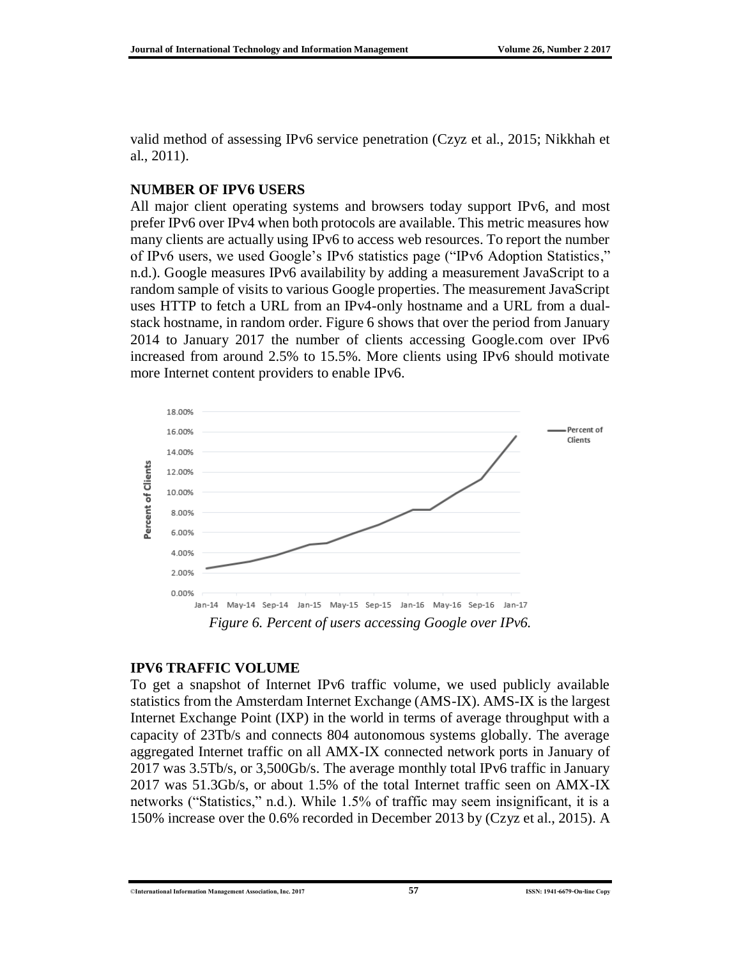valid method of assessing IPv6 service penetration (Czyz et al., 2015; Nikkhah et al., 2011).

# **NUMBER OF IPV6 USERS**

All major client operating systems and browsers today support IPv6, and most prefer IPv6 over IPv4 when both protocols are available. This metric measures how many clients are actually using IPv6 to access web resources. To report the number of IPv6 users, we used Google's IPv6 statistics page ("IPv6 Adoption Statistics," n.d.). Google measures IPv6 availability by adding a measurement JavaScript to a random sample of visits to various Google properties. The measurement JavaScript uses HTTP to fetch a URL from an IPv4-only hostname and a URL from a dualstack hostname, in random order. Figure 6 shows that over the period from January 2014 to January 2017 the number of clients accessing Google.com over IPv6 increased from around 2.5% to 15.5%. More clients using IPv6 should motivate more Internet content providers to enable IPv6.



#### **IPV6 TRAFFIC VOLUME**

To get a snapshot of Internet IPv6 traffic volume, we used publicly available statistics from the Amsterdam Internet Exchange (AMS-IX). AMS-IX is the largest Internet Exchange Point (IXP) in the world in terms of average throughput with a capacity of 23Tb/s and connects 804 autonomous systems globally. The average aggregated Internet traffic on all AMX-IX connected network ports in January of 2017 was 3.5Tb/s, or 3,500Gb/s. The average monthly total IPv6 traffic in January 2017 was 51.3Gb/s, or about 1.5% of the total Internet traffic seen on AMX-IX networks ("Statistics," n.d.). While 1.5% of traffic may seem insignificant, it is a 150% increase over the 0.6% recorded in December 2013 by (Czyz et al., 2015). A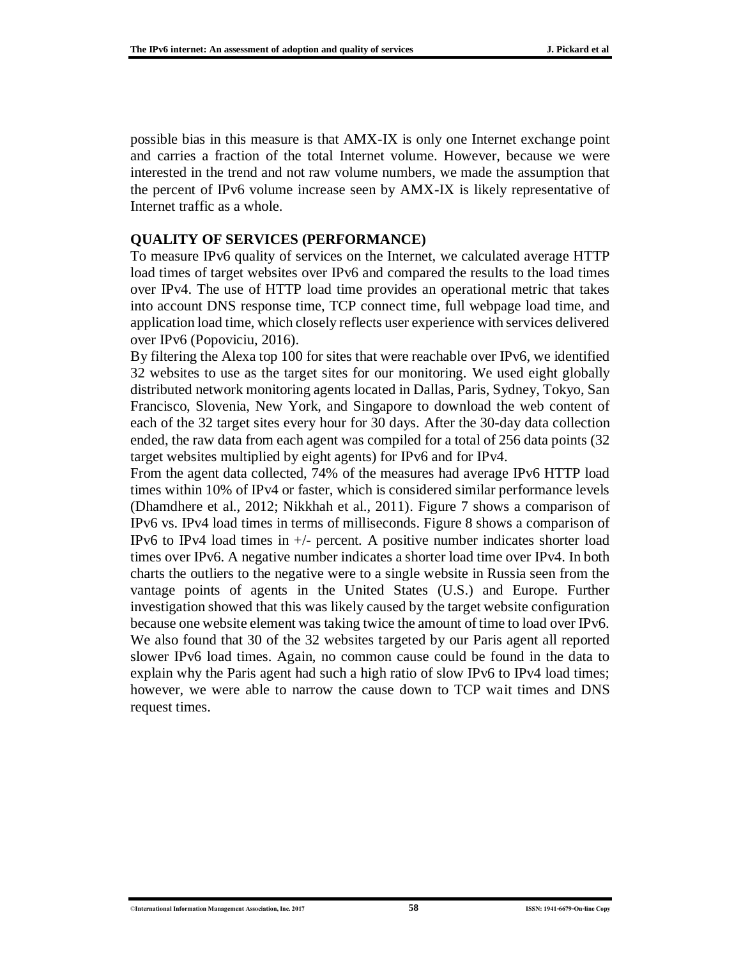possible bias in this measure is that AMX-IX is only one Internet exchange point and carries a fraction of the total Internet volume. However, because we were interested in the trend and not raw volume numbers, we made the assumption that the percent of IPv6 volume increase seen by AMX-IX is likely representative of Internet traffic as a whole.

#### **QUALITY OF SERVICES (PERFORMANCE)**

To measure IPv6 quality of services on the Internet, we calculated average HTTP load times of target websites over IPv6 and compared the results to the load times over IPv4. The use of HTTP load time provides an operational metric that takes into account DNS response time, TCP connect time, full webpage load time, and application load time, which closely reflects user experience with services delivered over IPv6 (Popoviciu, 2016).

By filtering the Alexa top 100 for sites that were reachable over IPv6, we identified 32 websites to use as the target sites for our monitoring. We used eight globally distributed network monitoring agents located in Dallas, Paris, Sydney, Tokyo, San Francisco, Slovenia, New York, and Singapore to download the web content of each of the 32 target sites every hour for 30 days. After the 30-day data collection ended, the raw data from each agent was compiled for a total of 256 data points (32 target websites multiplied by eight agents) for IPv6 and for IPv4.

From the agent data collected, 74% of the measures had average IPv6 HTTP load times within 10% of IPv4 or faster, which is considered similar performance levels (Dhamdhere et al., 2012; Nikkhah et al., 2011). Figure 7 shows a comparison of IPv6 vs. IPv4 load times in terms of milliseconds. Figure 8 shows a comparison of IPv6 to IPv4 load times in +/- percent. A positive number indicates shorter load times over IPv6. A negative number indicates a shorter load time over IPv4. In both charts the outliers to the negative were to a single website in Russia seen from the vantage points of agents in the United States (U.S.) and Europe. Further investigation showed that this was likely caused by the target website configuration because one website element was taking twice the amount of time to load over IPv6. We also found that 30 of the 32 websites targeted by our Paris agent all reported slower IPv6 load times. Again, no common cause could be found in the data to explain why the Paris agent had such a high ratio of slow IPv6 to IPv4 load times; however, we were able to narrow the cause down to TCP wait times and DNS request times.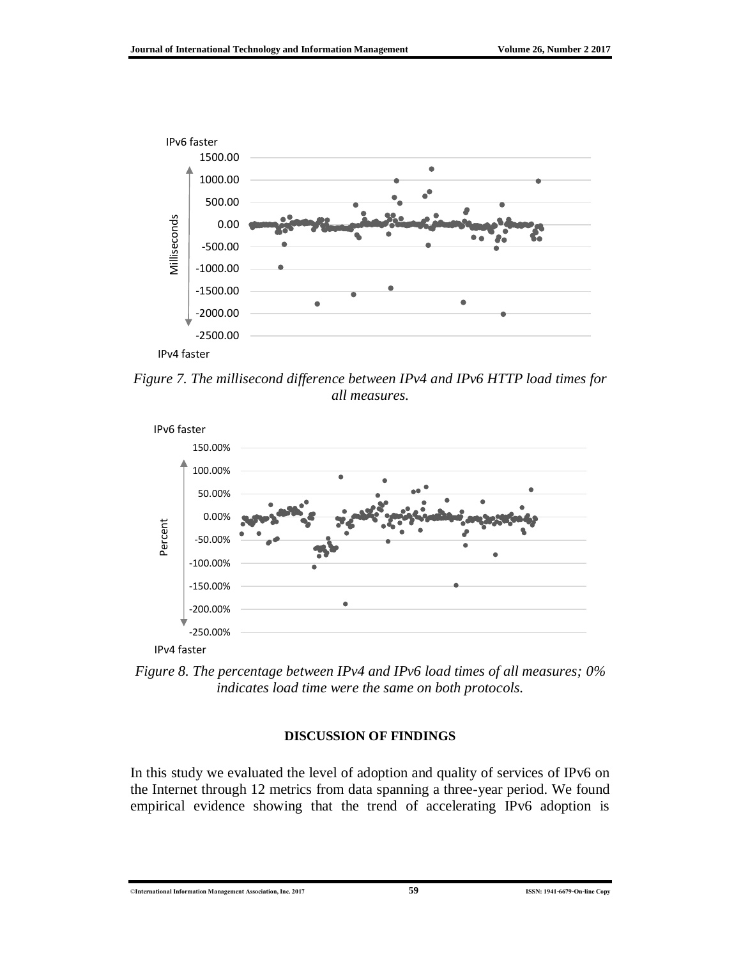

*Figure 7. The millisecond difference between IPv4 and IPv6 HTTP load times for all measures.*



*Figure 8. The percentage between IPv4 and IPv6 load times of all measures; 0% indicates load time were the same on both protocols.*

#### **DISCUSSION OF FINDINGS**

In this study we evaluated the level of adoption and quality of services of IPv6 on the Internet through 12 metrics from data spanning a three-year period. We found empirical evidence showing that the trend of accelerating IPv6 adoption is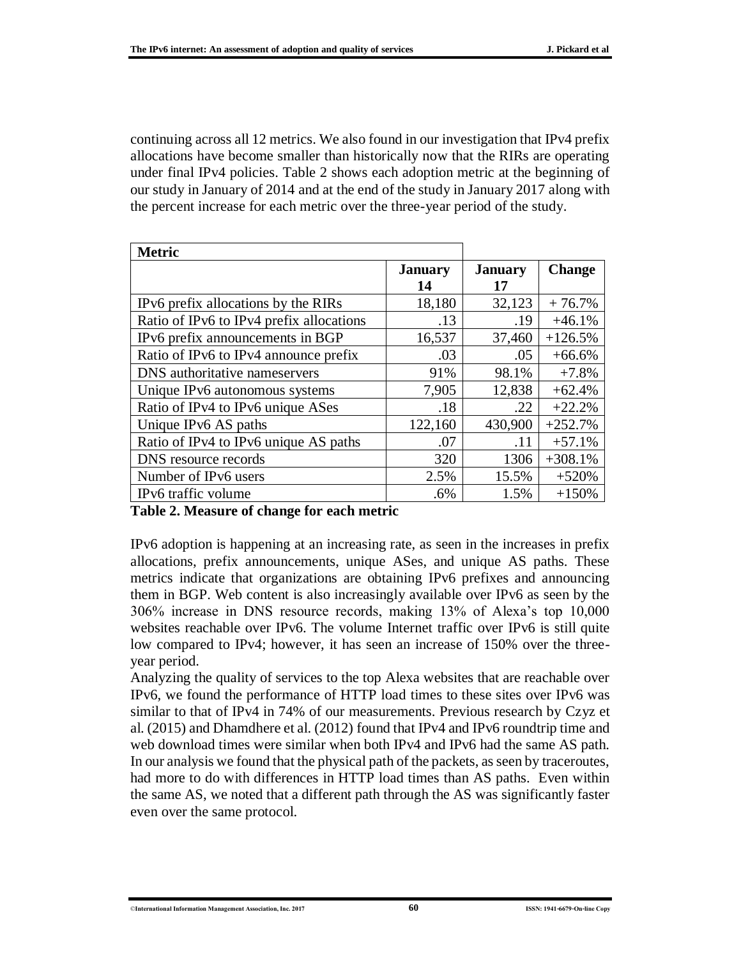continuing across all 12 metrics. We also found in our investigation that IPv4 prefix allocations have become smaller than historically now that the RIRs are operating under final IPv4 policies. Table 2 shows each adoption metric at the beginning of our study in January of 2014 and at the end of the study in January 2017 along with the percent increase for each metric over the three-year period of the study.

| <b>Metric</b>                            |                |                |               |
|------------------------------------------|----------------|----------------|---------------|
|                                          | <b>January</b> | <b>January</b> | <b>Change</b> |
|                                          | 14             | 17             |               |
| IPv6 prefix allocations by the RIRs      | 18,180         | 32,123         | $+76.7%$      |
| Ratio of IPv6 to IPv4 prefix allocations | .13            | .19            | $+46.1%$      |
| IPv6 prefix announcements in BGP         | 16,537         | 37,460         | $+126.5%$     |
| Ratio of IPv6 to IPv4 announce prefix    | .03            | .05            | $+66.6%$      |
| DNS authoritative nameservers            | 91%            | 98.1%          | $+7.8%$       |
| Unique IPv6 autonomous systems           | 7,905          | 12,838         | $+62.4%$      |
| Ratio of IPv4 to IPv6 unique ASes        | .18            | .22            | $+22.2%$      |
| Unique IPv6 AS paths                     | 122,160        | 430,900        | $+252.7%$     |
| Ratio of IPv4 to IPv6 unique AS paths    | .07            | .11            | $+57.1%$      |
| DNS resource records                     | 320            | 1306           | $+308.1%$     |
| Number of IPv6 users                     | 2.5%           | 15.5%          | $+520%$       |
| IPv6 traffic volume                      | $.6\%$         | 1.5%           | $+150%$       |

#### **Table 2. Measure of change for each metric**

IPv6 adoption is happening at an increasing rate, as seen in the increases in prefix allocations, prefix announcements, unique ASes, and unique AS paths. These metrics indicate that organizations are obtaining IPv6 prefixes and announcing them in BGP. Web content is also increasingly available over IPv6 as seen by the 306% increase in DNS resource records, making 13% of Alexa's top 10,000 websites reachable over IPv6. The volume Internet traffic over IPv6 is still quite low compared to IPv4; however, it has seen an increase of 150% over the threeyear period.

Analyzing the quality of services to the top Alexa websites that are reachable over IPv6, we found the performance of HTTP load times to these sites over IPv6 was similar to that of IPv4 in 74% of our measurements. Previous research by Czyz et al. (2015) and Dhamdhere et al. (2012) found that IPv4 and IPv6 roundtrip time and web download times were similar when both IPv4 and IPv6 had the same AS path. In our analysis we found that the physical path of the packets, as seen by traceroutes, had more to do with differences in HTTP load times than AS paths. Even within the same AS, we noted that a different path through the AS was significantly faster even over the same protocol.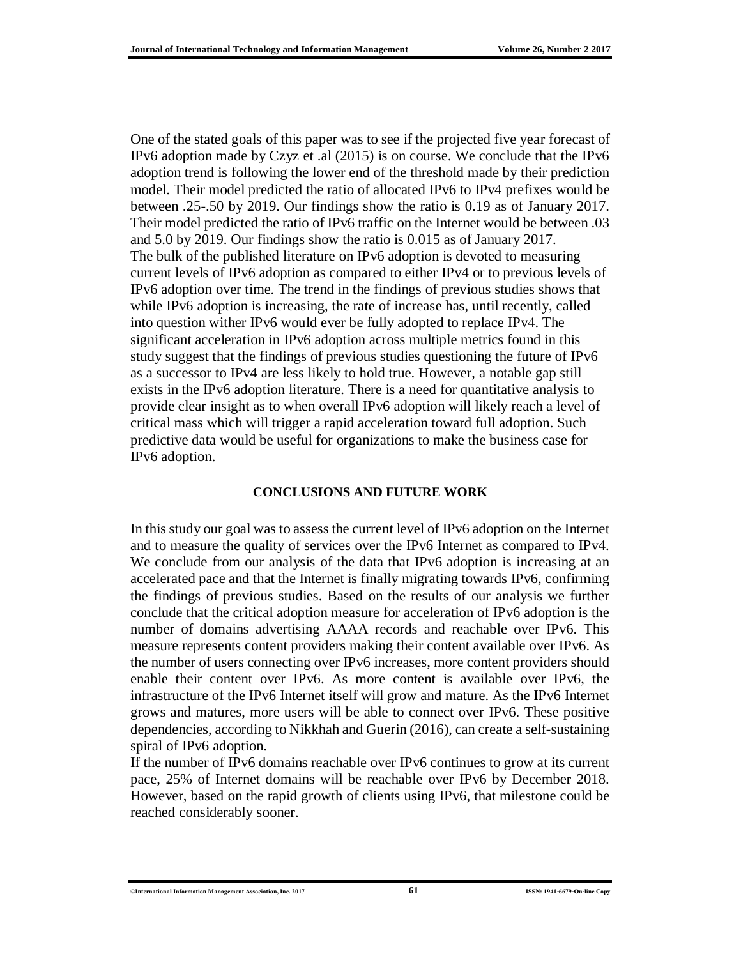One of the stated goals of this paper was to see if the projected five year forecast of IPv6 adoption made by Czyz et .al (2015) is on course. We conclude that the IPv6 adoption trend is following the lower end of the threshold made by their prediction model. Their model predicted the ratio of allocated IPv6 to IPv4 prefixes would be between .25-.50 by 2019. Our findings show the ratio is 0.19 as of January 2017. Their model predicted the ratio of IPv6 traffic on the Internet would be between .03 and 5.0 by 2019. Our findings show the ratio is 0.015 as of January 2017. The bulk of the published literature on IPv6 adoption is devoted to measuring current levels of IPv6 adoption as compared to either IPv4 or to previous levels of IPv6 adoption over time. The trend in the findings of previous studies shows that while IPv6 adoption is increasing, the rate of increase has, until recently, called into question wither IPv6 would ever be fully adopted to replace IPv4. The significant acceleration in IPv6 adoption across multiple metrics found in this study suggest that the findings of previous studies questioning the future of IPv6 as a successor to IPv4 are less likely to hold true. However, a notable gap still exists in the IPv6 adoption literature. There is a need for quantitative analysis to provide clear insight as to when overall IPv6 adoption will likely reach a level of critical mass which will trigger a rapid acceleration toward full adoption. Such predictive data would be useful for organizations to make the business case for IPv6 adoption.

# **CONCLUSIONS AND FUTURE WORK**

In this study our goal was to assess the current level of IPv6 adoption on the Internet and to measure the quality of services over the IPv6 Internet as compared to IPv4. We conclude from our analysis of the data that IPv6 adoption is increasing at an accelerated pace and that the Internet is finally migrating towards IPv6, confirming the findings of previous studies. Based on the results of our analysis we further conclude that the critical adoption measure for acceleration of IPv6 adoption is the number of domains advertising AAAA records and reachable over IPv6. This measure represents content providers making their content available over IPv6. As the number of users connecting over IPv6 increases, more content providers should enable their content over IPv6. As more content is available over IPv6, the infrastructure of the IPv6 Internet itself will grow and mature. As the IPv6 Internet grows and matures, more users will be able to connect over IPv6. These positive dependencies, according to Nikkhah and Guerin (2016), can create a self-sustaining spiral of IPv6 adoption.

If the number of IPv6 domains reachable over IPv6 continues to grow at its current pace, 25% of Internet domains will be reachable over IPv6 by December 2018. However, based on the rapid growth of clients using IPv6, that milestone could be reached considerably sooner.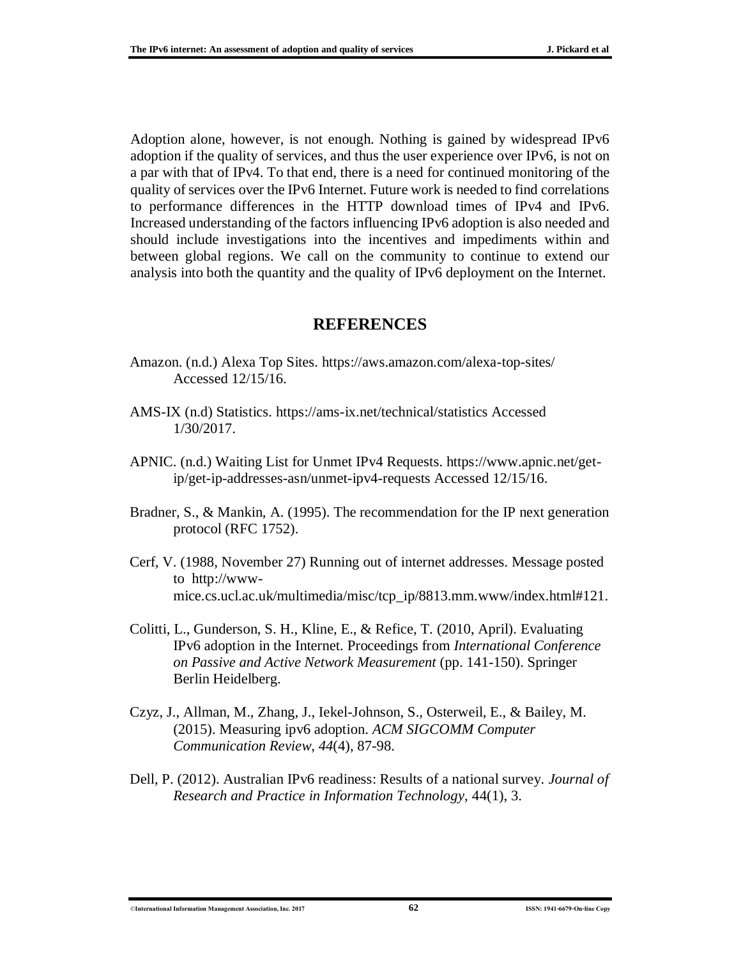Adoption alone, however, is not enough. Nothing is gained by widespread IPv6 adoption if the quality of services, and thus the user experience over IPv6, is not on a par with that of IPv4. To that end, there is a need for continued monitoring of the quality of services over the IPv6 Internet. Future work is needed to find correlations to performance differences in the HTTP download times of IPv4 and IPv6. Increased understanding of the factors influencing IPv6 adoption is also needed and should include investigations into the incentives and impediments within and between global regions. We call on the community to continue to extend our analysis into both the quantity and the quality of IPv6 deployment on the Internet.

# **REFERENCES**

- Amazon. (n.d.) Alexa Top Sites. https://aws.amazon.com/alexa-top-sites/ Accessed 12/15/16.
- AMS-IX (n.d) Statistics. https://ams-ix.net/technical/statistics Accessed 1/30/2017.
- APNIC. (n.d.) Waiting List for Unmet IPv4 Requests. https://www.apnic.net/getip/get-ip-addresses-asn/unmet-ipv4-requests Accessed 12/15/16.
- Bradner, S., & Mankin, A. (1995). The recommendation for the IP next generation protocol (RFC 1752).
- Cerf, V. (1988, November 27) Running out of internet addresses. Message posted to http://wwwmice.cs.ucl.ac.uk/multimedia/misc/tcp\_ip/8813.mm.www/index.html#121.
- Colitti, L., Gunderson, S. H., Kline, E., & Refice, T. (2010, April). Evaluating IPv6 adoption in the Internet. Proceedings from *International Conference on Passive and Active Network Measurement* (pp. 141-150). Springer Berlin Heidelberg.
- Czyz, J., Allman, M., Zhang, J., Iekel-Johnson, S., Osterweil, E., & Bailey, M. (2015). Measuring ipv6 adoption. *ACM SIGCOMM Computer Communication Review*, *44*(4), 87-98.
- Dell, P. (2012). Australian IPv6 readiness: Results of a national survey. *Journal of Research and Practice in Information Technology,* 44(1), 3.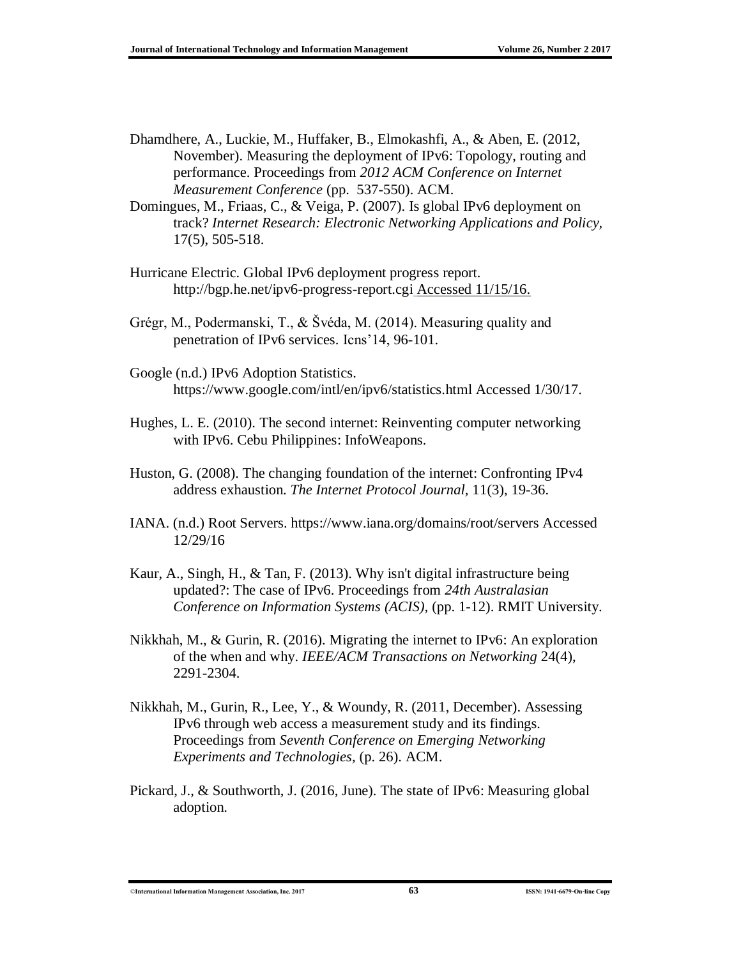- Dhamdhere, A., Luckie, M., Huffaker, B., Elmokashfi, A., & Aben, E. (2012, November). Measuring the deployment of IPv6: Topology, routing and performance. Proceedings from *2012 ACM Conference on Internet Measurement Conference* (pp.537-550). ACM.
- Domingues, M., Friaas, C., & Veiga, P. (2007). Is global IPv6 deployment on track? *Internet Research: Electronic Networking Applications and Policy,*  17(5), 505-518.
- Hurricane Electric. Global IPv6 deployment progress report. http://bgp.he.net/ipv6-progress-report.cgi Accessed 11/15/16.
- Grégr, M., Podermanski, T., & Švéda, M. (2014). Measuring quality and penetration of IPv6 services. Icns'14, 96-101.
- Google (n.d.) IPv6 Adoption Statistics. https://www.google.com/intl/en/ipv6/statistics.html Accessed 1/30/17.
- Hughes, L. E. (2010). The second internet: Reinventing computer networking with IPv6. Cebu Philippines: InfoWeapons.
- Huston, G. (2008). The changing foundation of the internet: Confronting IPv4 address exhaustion. *The Internet Protocol Journal,* 11(3), 19-36.
- IANA. (n.d.) Root Servers. https://www.iana.org/domains/root/servers Accessed 12/29/16
- Kaur, A., Singh, H., & Tan, F. (2013). Why isn't digital infrastructure being updated?: The case of IPv6. Proceedings from *24th Australasian Conference on Information Systems (ACIS), (pp. 1-12). RMIT University.*
- Nikkhah, M., & Gurin, R. (2016). Migrating the internet to IPv6: An exploration of the when and why. *IEEE/ACM Transactions on Networking* 24(4), 2291-2304.
- Nikkhah, M., Gurin, R., Lee, Y., & Woundy, R. (2011, December). Assessing IPv6 through web access a measurement study and its findings. Proceedings from *Seventh Conference on Emerging Networking Experiments and Technologies,* (p. 26). ACM.
- Pickard, J., & Southworth, J. (2016, June). The state of IPv6: Measuring global adoption.